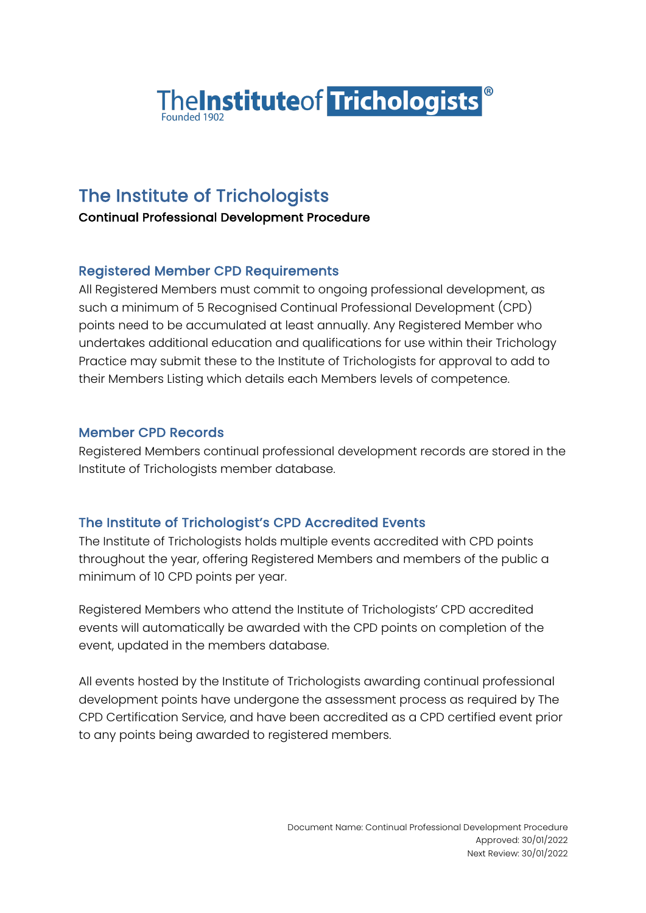

# The Institute of Trichologists

Continual Professional Development Procedure

### Registered Member CPD Requirements

All Registered Members must commit to ongoing professional development, as such a minimum of 5 Recognised Continual Professional Development (CPD) points need to be accumulated at least annually. Any Registered Member who undertakes additional education and qualifications for use within their Trichology Practice may submit these to the Institute of Trichologists for approval to add to their Members Listing which details each Members levels of competence.

#### Member CPD Records

Registered Members continual professional development records are stored in the Institute of Trichologists member database.

## The Institute of Trichologist's CPD Accredited Events

The Institute of Trichologists holds multiple events accredited with CPD points throughout the year, offering Registered Members and members of the public a minimum of 10 CPD points per year.

Registered Members who attend the Institute of Trichologists' CPD accredited events will automatically be awarded with the CPD points on completion of the event, updated in the members database.

All events hosted by the Institute of Trichologists awarding continual professional development points have undergone the assessment process as required by The CPD Certification Service, and have been accredited as a CPD certified event prior to any points being awarded to registered members.